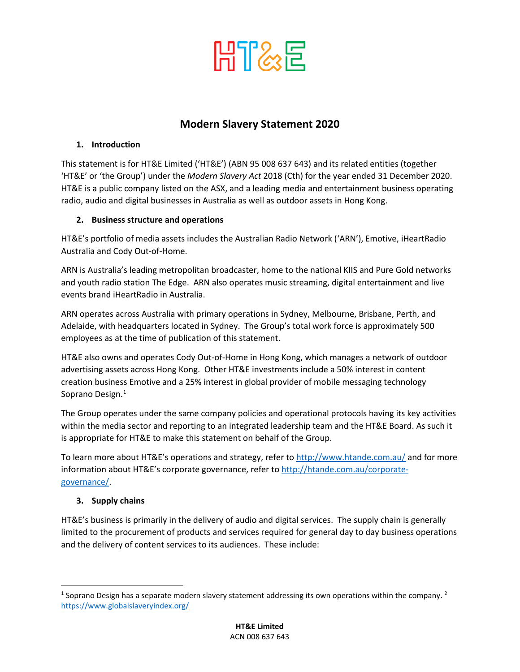

# **Modern Slavery Statement 2020**

## **1. Introduction**

This statement is for HT&E Limited ('HT&E') (ABN 95 008 637 643) and its related entities (together 'HT&E' or 'the Group') under the *Modern Slavery Act* 2018 (Cth) for the year ended 31 December 2020. HT&E is a public company listed on the ASX, and a leading media and entertainment business operating radio, audio and digital businesses in Australia as well as outdoor assets in Hong Kong.

## **2. Business structure and operations**

HT&E's portfolio of media assets includes the Australian Radio Network ('ARN'), Emotive, iHeartRadio Australia and Cody Out-of-Home.

ARN is Australia's leading metropolitan broadcaster, home to the national KIIS and Pure Gold networks and youth radio station The Edge. ARN also operates music streaming, digital entertainment and live events brand iHeartRadio in Australia.

ARN operates across Australia with primary operations in Sydney, Melbourne, Brisbane, Perth, and Adelaide, with headquarters located in Sydney. The Group's total work force is approximately 500 employees as at the time of publication of this statement.

HT&E also owns and operates Cody Out-of-Home in Hong Kong, which manages a network of outdoor advertising assets across Hong Kong. Other HT&E investments include a 50% interest in content creation business Emotive and a 25% interest in global provider of mobile messaging technology Soprano Design.<sup>[1](#page-0-0)</sup>

The Group operates under the same company policies and operational protocols having its key activities within the media sector and reporting to an integrated leadership team and the HT&E Board. As such it is appropriate for HT&E to make this statement on behalf of the Group.

To learn more about HT&E's operations and strategy, refer to<http://www.htande.com.au/> and for more information about HT&E's corporate governance, refer t[o http://htande.com.au/corporate](http://htande.com.au/corporate-governance/)[governance/.](http://htande.com.au/corporate-governance/)

## **3. Supply chains**

HT&E's business is primarily in the delivery of audio and digital services. The supply chain is generally limited to the procurement of products and services required for general day to day business operations and the delivery of content services to its audiences. These include:

<span id="page-0-0"></span><sup>&</sup>lt;sup>1</sup> Soprano Design has a separate modern slavery statement addressing its own operations within the company.<sup>2</sup> <https://www.globalslaveryindex.org/>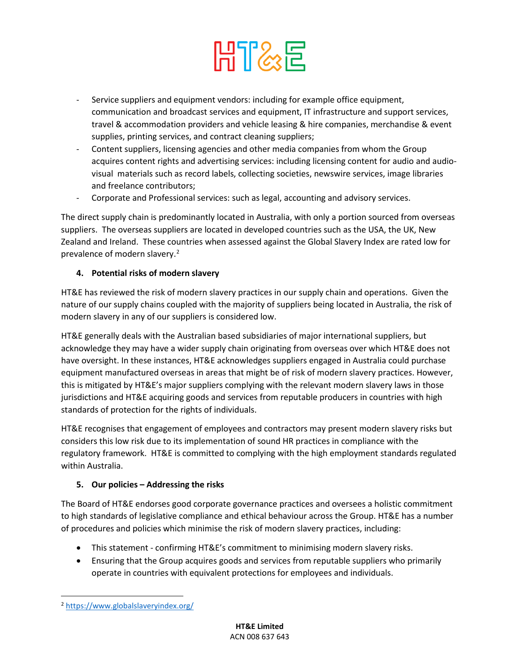

- Service suppliers and equipment vendors: including for example office equipment, communication and broadcast services and equipment, IT infrastructure and support services, travel & accommodation providers and vehicle leasing & hire companies, merchandise & event supplies, printing services, and contract cleaning suppliers;
- Content suppliers, licensing agencies and other media companies from whom the Group acquires content rights and advertising services: including licensing content for audio and audiovisual materials such as record labels, collecting societies, newswire services, image libraries and freelance contributors;
- Corporate and Professional services: such as legal, accounting and advisory services.

The direct supply chain is predominantly located in Australia, with only a portion sourced from overseas suppliers. The overseas suppliers are located in developed countries such as the USA, the UK, New Zealand and Ireland. These countries when assessed against the Global Slavery Index are rated low for prevalence of modern slavery. [2](#page-1-0)

## **4. Potential risks of modern slavery**

HT&E has reviewed the risk of modern slavery practices in our supply chain and operations. Given the nature of our supply chains coupled with the majority of suppliers being located in Australia, the risk of modern slavery in any of our suppliers is considered low.

HT&E generally deals with the Australian based subsidiaries of major international suppliers, but acknowledge they may have a wider supply chain originating from overseas over which HT&E does not have oversight. In these instances, HT&E acknowledges suppliers engaged in Australia could purchase equipment manufactured overseas in areas that might be of risk of modern slavery practices. However, this is mitigated by HT&E's major suppliers complying with the relevant modern slavery laws in those jurisdictions and HT&E acquiring goods and services from reputable producers in countries with high standards of protection for the rights of individuals.

HT&E recognises that engagement of employees and contractors may present modern slavery risks but considers this low risk due to its implementation of sound HR practices in compliance with the regulatory framework. HT&E is committed to complying with the high employment standards regulated within Australia.

## **5. Our policies – Addressing the risks**

The Board of HT&E endorses good corporate governance practices and oversees a holistic commitment to high standards of legislative compliance and ethical behaviour across the Group. HT&E has a number of procedures and policies which minimise the risk of modern slavery practices, including:

- This statement confirming HT&E's commitment to minimising modern slavery risks.
- Ensuring that the Group acquires goods and services from reputable suppliers who primarily operate in countries with equivalent protections for employees and individuals.

<span id="page-1-0"></span><sup>2</sup> <https://www.globalslaveryindex.org/>